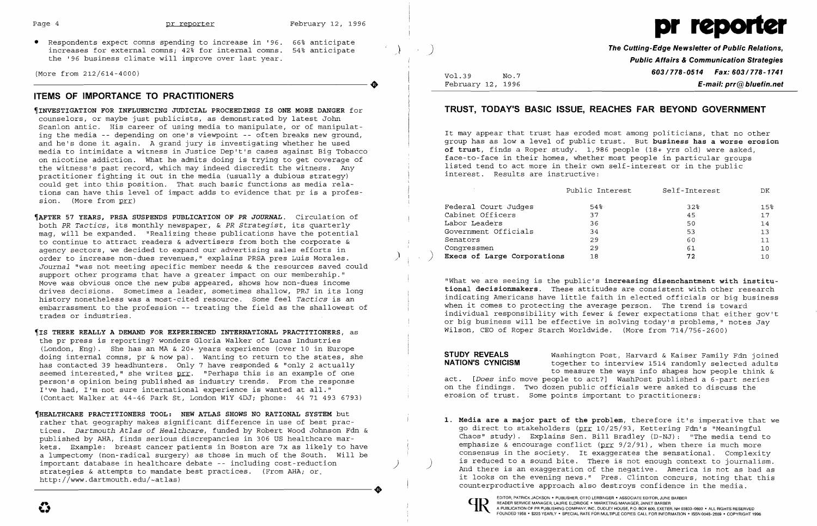• Respondents expect comns spending to increase in '96. 66% anticipate increases for external comns; 42% for internal comns. 54% anticipate the '96 business climate will improve over last year. The 196 business climate will improve over last year.<br>(More from 212/614-4000)<br>TIEMS OF IMPOPTANCE TO PRACTITIONERS

(More from 212/614-4000)

## **ITEMS OF IMPORTANCE TO PRACTITIONERS**

~INVESTIGATION **FOR INFLUENCING JUDICIAL PROCEEDINGS IS ONE MORE DANGER** for counselors, or maybe just publicists, as demonstrated by latest John Scanlon antic. His career of using media to manipulate, or of manipulating the media -- depending on one's viewpoint -- often breaks new ground, and he's done it again. A grand jury is investigating whether he used media to intimidate a witness in Justice Dep't's cases against Big Tobacco on nicotine addiction. What he admits doing is trying to get coverage of the witness's past record, which may indeed discredit the witness. Any practitioner fighting it out in the media (usually a dubious strategy) could get into this position. That such basic functions as media relations can have this level of impact adds to evidence that pr is a profession. (More from prr)

~AFTER **57 YEARS, PRSA SUSPENDS PUBLICATION OF PR** *JOURNAL.* Circulation of both *PR Tactics,* its monthly newspaper, & *PR Strategist,* its quarterly mag, will be expanded. "Realizing these publications have the potential to continue to attract readers & advertisers from both the corporate & agency sectors, we decided to expand our advertising sales efforts in order to increase non-dues revenues," explains PRSA pres Luis Morales. ) *Journal* "was not meeting specific member needs & the resources saved could support other programs that have a greater impact on our membership." Move was obvious once the new pubs appeared, shows how non-dues income drives decisions. Sometimes a leader, sometimes shallow, PRJ in its long history nonetheless was a most-cited resource. Some feel *Tactics* is an embarrassment to the profession -- treating the field as the shallowest of trades or industries.

Vol.39 February 12, 1996  $N_O.7$ 

~IS **THERE REALLY A DEMAND FOR EXPERIENCED INTERNATIONAL PRACTITIONERS,** as the pr press is reporting? wonders Gloria Walker of Lucas Industries (London, Eng). She has an MA & 20+ years experience (over 10 in Europe doing internal comns, pr & now pa). Wanting to return to the states, she has contacted 39 headhunters. Only 7 have responded & "only 2 actually seemed interested," she writes <u>prr</u>. "Perhaps this is an example of one person's opinion being published as industry trends. From the response I've had, I'm ·not sure international experience is wanted at ail." (Contact Walker at 44-46 Park St, London W1Y 4DJ; phone: 44 71 493 6793)

**STUDY REVEALS** Washington Post, Harvard & Kaiser Family Fdn joined<br>**NATION'S CYNICISM** bogether to interview 1514 randomly selected adults together to interview 1514 randomly selected adults to measure the ways info shapes how people think & act. *[Does* info move people to act?] WashPost published a 6-part series on the findings. Two dozen public officials were asked to discuss the erosion of trust. Some points important to practitioners:

~HEALTHCARE **PRACTITIONERS TOOL: NEW ATLAS SHOWS NO RATIONAL SYSTEM** but rather that geography makes significant difference in use of best prac tices. *Dartmouth Atlas of Healthcare,* funded by Robert Wood Johnson Fdn & published by AHA, finds serious discrepancies in 306 US healthcare mar kets. Example: breast cancer patients in Boston are 7x as likely to have a lumpectomy (non-radical surgery) as those in much of the South. will be important database in healthcare debate -- including cost-reduction ) strategies & attempts to mandate best practices. (From AHA; or -----------------------+ http://www.dartmouth.edu/-atlas)

) **The Cutting-Edge Newsletter of Public Relations, Public Affairs & Communication Strategies 6031778-0514 Fax: 6031778-1741 E-mail: prr@bluefin.net** 

Public Interest Self-Interest DK

| 15 <sup>8</sup> |
|-----------------|
| 17              |
| 14              |
| 13              |
| 11              |
| 10              |
| 10              |
|                 |

## **TRUST, TODAY'S BASIC ISSUE, REACHES FAR BEYOND GOVERNMENT**

It may appear that trust has eroded most among politicians, that no other group has as low a level of public trust. But **business has a worse erosion of trust,** finds a Roper study. 1,986 people (18+ yrs old) were asked, face-to-face in their homes, whether most people in particular groups listed tend to act more in their own self-interest or in the public interest. Results are instructive:

| Federal Court Judges        | 54% | 32 | 1.5% |
|-----------------------------|-----|----|------|
| Cabinet Officers            | 37  | 45 | 17   |
| Labor Leaders               | 36  | 50 | 14   |
| Government Officials        | 34  | 53 | 13   |
| Senators                    | 29  | 60 | 11   |
| Congressmen                 | 29  | 61 | 10   |
| Execs of Large Corporations | 18  | 72 |      |

"What we are seeing is the public's **increasing disenchantment with institutional decisionmakers.** These attitudes are consistent with other research indicating Americans have little faith in elected officials or big business when it comes to protecting the average person. The trend is toward individual responsibility with fewer & fewer expectations that either gov't or big business will be effective in solving today's problems," notes Jay Wilson, CEO of Roper Starch Worldwide. (More from 714/756-2600)

**1. Media are a major part of the problem,** therefore it's imperative that we go direct to stakeholders (prr 10/25/93, Kettering Fdn's "Meaningful Chaos" study). Explains Sen. Bill Bradley (D-NJ): "The media tend to emphasize & encourage conflict ( $prr$  9/2/91), when there is much more consensus in the society. It exaggerates the sensational. Complexity<br>is reduced to a sound bite. There is not enough context to journalism. And there is an exaggeration of the negative. America is not as bad as it looks on the evening news." Pres. Clinton concurs, noting that this

counterproductive approach also destroys confidence in the media.

 $\mathbf{\Omega}$  . The set of  $\mathbf{H}$ 

EDITOR, PATRICK JACKSON • PUBLISHER, OTTO LERBINGER • ASSOCIATE EDITOR, JUNE BARBER ( AURIE ELDRIDGE • MARKETING MANAGER, JANET BARBER ( AURIE ELDRIDGE • MARKETING MANAGER, JANET BARBER A PUBLICATION OF PR PUBLISHING COMPANY, INC, DUDLEY HOUSE, P.O. BOX 600, EXETER, NH 03833-0600 • ALL RIGHTS RESERVED FOUNDED 1958 . \$225 YEARLY . SPECIAL RATE FOR MULTIPLE COPIES: CALL FOR INFORMATION . ISSN 0048-2609 . COPYRIGHT 1996

# Page 4 **pr reporter** February 12, 1996 **pr reporter** February 12, 1996